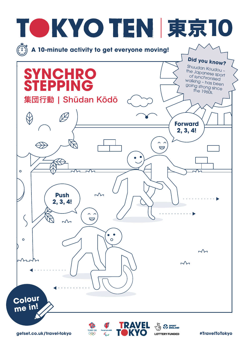